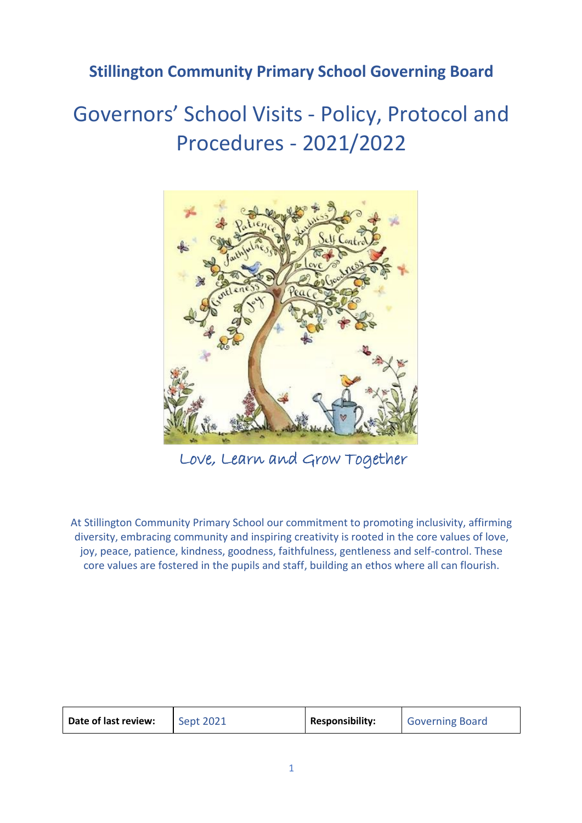## **Stillington Community Primary School Governing Board**

# Governors' School Visits - Policy, Protocol and Procedures - 2021/2022



Love, Learn and Grow Together

At Stillington Community Primary School our commitment to promoting inclusivity, affirming diversity, embracing community and inspiring creativity is rooted in the core values of love, joy, peace, patience, kindness, goodness, faithfulness, gentleness and self-control. These core values are fostered in the pupils and staff, building an ethos where all can flourish.

| Date of last review: | Sept 2021 | <b>Responsibility:</b> | <b>Governing Board</b> |
|----------------------|-----------|------------------------|------------------------|
|----------------------|-----------|------------------------|------------------------|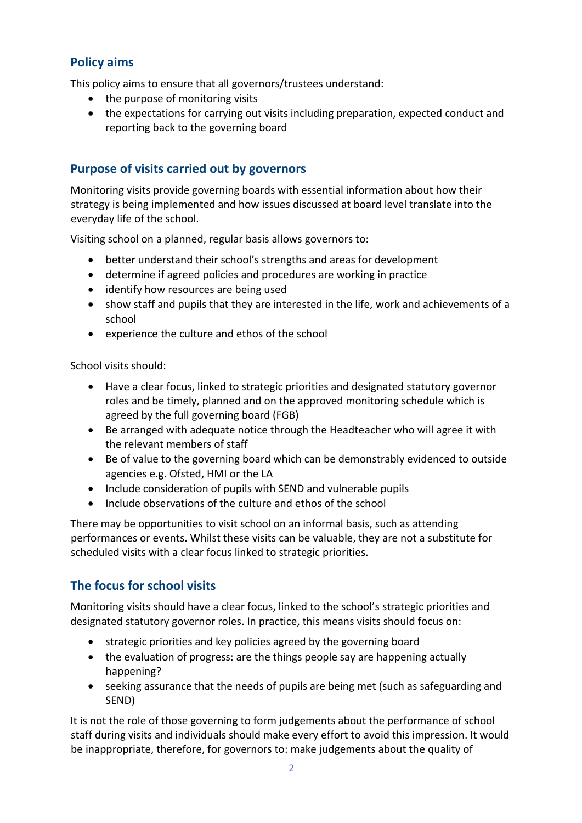## **Policy aims**

This policy aims to ensure that all governors/trustees understand:

- the purpose of monitoring visits
- the expectations for carrying out visits including preparation, expected conduct and reporting back to the governing board

## **Purpose of visits carried out by governors**

Monitoring visits provide governing boards with essential information about how their strategy is being implemented and how issues discussed at board level translate into the everyday life of the school.

Visiting school on a planned, regular basis allows governors to:

- better understand their school's strengths and areas for development
- determine if agreed policies and procedures are working in practice
- identify how resources are being used
- show staff and pupils that they are interested in the life, work and achievements of a school
- experience the culture and ethos of the school

School visits should:

- Have a clear focus, linked to strategic priorities and designated statutory governor roles and be timely, planned and on the approved monitoring schedule which is agreed by the full governing board (FGB)
- Be arranged with adequate notice through the Headteacher who will agree it with the relevant members of staff
- Be of value to the governing board which can be demonstrably evidenced to outside agencies e.g. Ofsted, HMI or the LA
- Include consideration of pupils with SEND and vulnerable pupils
- Include observations of the culture and ethos of the school

There may be opportunities to visit school on an informal basis, such as attending performances or events. Whilst these visits can be valuable, they are not a substitute for scheduled visits with a clear focus linked to strategic priorities.

## **The focus for school visits**

Monitoring visits should have a clear focus, linked to the school's strategic priorities and designated statutory governor roles. In practice, this means visits should focus on:

- strategic priorities and key policies agreed by the governing board
- the evaluation of progress: are the things people say are happening actually happening?
- seeking assurance that the needs of pupils are being met (such as safeguarding and SEND)

It is not the role of those governing to form judgements about the performance of school staff during visits and individuals should make every effort to avoid this impression. It would be inappropriate, therefore, for governors to: make judgements about the quality of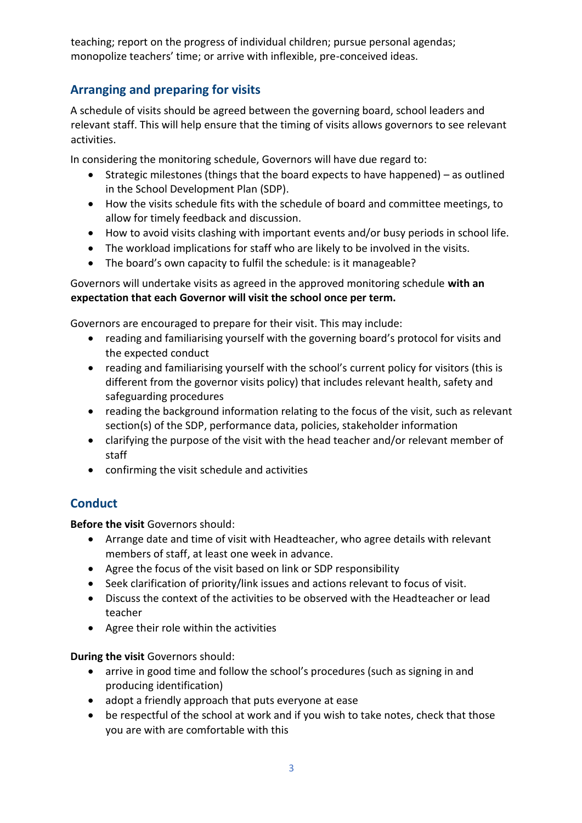teaching; report on the progress of individual children; pursue personal agendas; monopolize teachers' time; or arrive with inflexible, pre-conceived ideas.

## **Arranging and preparing for visits**

A schedule of visits should be agreed between the governing board, school leaders and relevant staff. This will help ensure that the timing of visits allows governors to see relevant activities.

In considering the monitoring schedule, Governors will have due regard to:

- Strategic milestones (things that the board expects to have happened) as outlined in the School Development Plan (SDP).
- How the visits schedule fits with the schedule of board and committee meetings, to allow for timely feedback and discussion.
- How to avoid visits clashing with important events and/or busy periods in school life.
- The workload implications for staff who are likely to be involved in the visits.
- The board's own capacity to fulfil the schedule: is it manageable?

Governors will undertake visits as agreed in the approved monitoring schedule **with an expectation that each Governor will visit the school once per term.** 

Governors are encouraged to prepare for their visit. This may include:

- reading and familiarising yourself with the governing board's protocol for visits and the expected conduct
- reading and familiarising yourself with the school's current policy for visitors (this is different from the governor visits policy) that includes relevant health, safety and safeguarding procedures
- reading the background information relating to the focus of the visit, such as relevant section(s) of the SDP, performance data, policies, stakeholder information
- clarifying the purpose of the visit with the head teacher and/or relevant member of staff
- confirming the visit schedule and activities

## **Conduct**

**Before the visit** Governors should:

- Arrange date and time of visit with Headteacher, who agree details with relevant members of staff, at least one week in advance.
- Agree the focus of the visit based on link or SDP responsibility
- Seek clarification of priority/link issues and actions relevant to focus of visit.
- Discuss the context of the activities to be observed with the Headteacher or lead teacher
- Agree their role within the activities

**During the visit** Governors should:

- arrive in good time and follow the school's procedures (such as signing in and producing identification)
- adopt a friendly approach that puts everyone at ease
- be respectful of the school at work and if you wish to take notes, check that those you are with are comfortable with this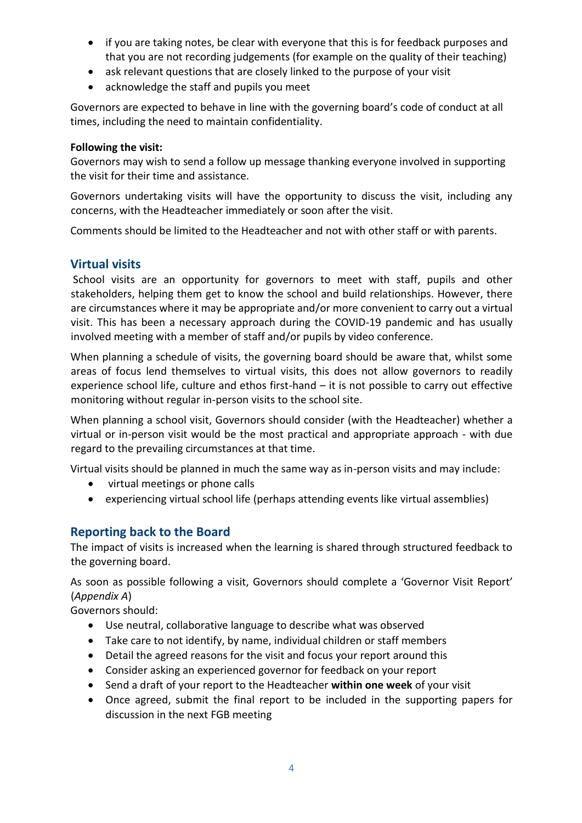- if you are taking notes, be clear with everyone that this is for feedback purposes and that you are not recording judgements (for example on the quality of their teaching)
- ask relevant questions that are closely linked to the purpose of your visit
- acknowledge the staff and pupils you meet

Governors are expected to behave in line with the governing board's code of conduct at all times, including the need to maintain confidentiality.

#### **Following the visit:**

Governors may wish to send a follow up message thanking everyone involved in supporting the visit for their time and assistance.

Governors undertaking visits will have the opportunity to discuss the visit, including any concerns, with the Headteacher immediately or soon after the visit.

Comments should be limited to the Headteacher and not with other staff or with parents.

### **Virtual visits**

School visits are an opportunity for governors to meet with staff, pupils and other stakeholders, helping them get to know the school and build relationships. However, there are circumstances where it may be appropriate and/or more convenient to carry out a virtual visit. This has been a necessary approach during the COVID-19 pandemic and has usually involved meeting with a member of staff and/or pupils by video conference.

When planning a schedule of visits, the governing board should be aware that, whilst some areas of focus lend themselves to virtual visits, this does not allow governors to readily experience school life, culture and ethos first-hand – it is not possible to carry out effective monitoring without regular in-person visits to the school site.

When planning a school visit, Governors should consider (with the Headteacher) whether a virtual or in-person visit would be the most practical and appropriate approach - with due regard to the prevailing circumstances at that time.

Virtual visits should be planned in much the same way as in-person visits and may include:

- virtual meetings or phone calls
- experiencing virtual school life (perhaps attending events like virtual assemblies)

## **Reporting back to the Board**

The impact of visits is increased when the learning is shared through structured feedback to the governing board.

As soon as possible following a visit, Governors should complete a 'Governor Visit Report' (*Appendix A*)

Governors should:

- Use neutral, collaborative language to describe what was observed
- Take care to not identify, by name, individual children or staff members
- Detail the agreed reasons for the visit and focus your report around this
- Consider asking an experienced governor for feedback on your report
- Send a draft of your report to the Headteacher **within one week** of your visit
- Once agreed, submit the final report to be included in the supporting papers for discussion in the next FGB meeting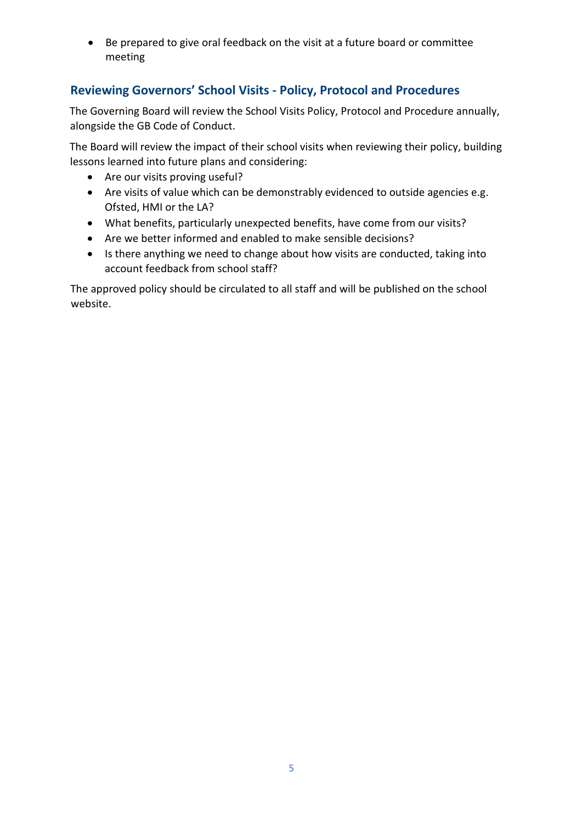• Be prepared to give oral feedback on the visit at a future board or committee meeting

## **Reviewing Governors' School Visits - Policy, Protocol and Procedures**

The Governing Board will review the School Visits Policy, Protocol and Procedure annually, alongside the GB Code of Conduct.

The Board will review the impact of their school visits when reviewing their policy, building lessons learned into future plans and considering:

- Are our visits proving useful?
- Are visits of value which can be demonstrably evidenced to outside agencies e.g. Ofsted, HMI or the LA?
- What benefits, particularly unexpected benefits, have come from our visits?
- Are we better informed and enabled to make sensible decisions?
- Is there anything we need to change about how visits are conducted, taking into account feedback from school staff?

The approved policy should be circulated to all staff and will be published on the school website.